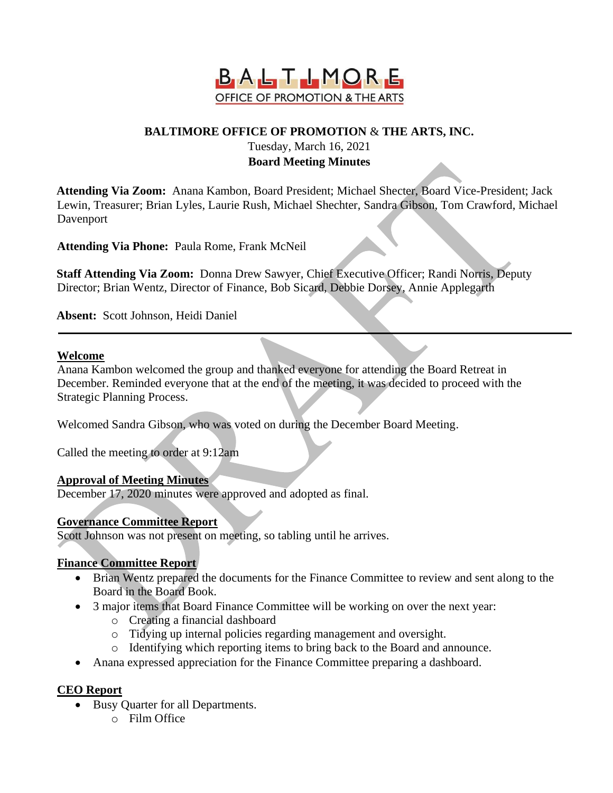

# **BALTIMORE OFFICE OF PROMOTION** & **THE ARTS, INC.**

#### Tuesday, March 16, 2021 **Board Meeting Minutes**

**Attending Via Zoom:** Anana Kambon, Board President; Michael Shecter, Board Vice-President; Jack Lewin, Treasurer; Brian Lyles, Laurie Rush, Michael Shechter, Sandra Gibson, Tom Crawford, Michael Davenport

**Attending Via Phone:** Paula Rome, Frank McNeil

**Staff Attending Via Zoom:** Donna Drew Sawyer, Chief Executive Officer; Randi Norris, Deputy Director; Brian Wentz, Director of Finance, Bob Sicard, Debbie Dorsey, Annie Applegarth

**Absent:** Scott Johnson, Heidi Daniel

### **Welcome**

Anana Kambon welcomed the group and thanked everyone for attending the Board Retreat in December. Reminded everyone that at the end of the meeting, it was decided to proceed with the Strategic Planning Process.

Welcomed Sandra Gibson, who was voted on during the December Board Meeting.

Called the meeting to order at 9:12am

### **Approval of Meeting Minutes**

December 17, 2020 minutes were approved and adopted as final.

## **Governance Committee Report**

Scott Johnson was not present on meeting, so tabling until he arrives.

### **Finance Committee Report**

- Brian Wentz prepared the documents for the Finance Committee to review and sent along to the Board in the Board Book.
- 3 major items that Board Finance Committee will be working on over the next year:
	- o Creating a financial dashboard
	- o Tidying up internal policies regarding management and oversight.
	- o Identifying which reporting items to bring back to the Board and announce.
- Anana expressed appreciation for the Finance Committee preparing a dashboard.

## **CEO Report**

- Busy Quarter for all Departments.
	- o Film Office